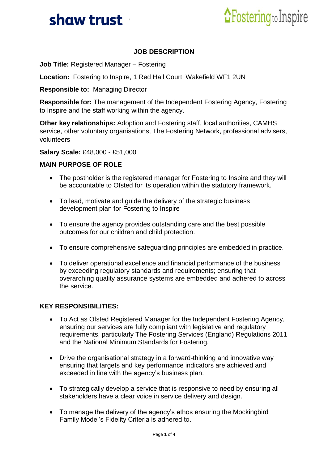# $\mathbf{\Omega}$ Fostering to Inspire

### **JOB DESCRIPTION**

**Job Title:** Registered Manager – Fostering

**Location:** Fostering to Inspire, 1 Red Hall Court, Wakefield WF1 2UN

**Responsible to:** Managing Director

**Responsible for:** The management of the Independent Fostering Agency, Fostering to Inspire and the staff working within the agency.

**Other key relationships:** Adoption and Fostering staff, local authorities, CAMHS service, other voluntary organisations, The Fostering Network, professional advisers, volunteers

**Salary Scale:** £48,000 - £51,000

#### **MAIN PURPOSE OF ROLE**

- The postholder is the registered manager for Fostering to Inspire and they will be accountable to Ofsted for its operation within the statutory framework.
- To lead, motivate and guide the delivery of the strategic business development plan for Fostering to Inspire
- To ensure the agency provides outstanding care and the best possible outcomes for our children and child protection.
- To ensure comprehensive safeguarding principles are embedded in practice.
- To deliver operational excellence and financial performance of the business by exceeding regulatory standards and requirements; ensuring that overarching quality assurance systems are embedded and adhered to across the service.

### **KEY RESPONSIBILITIES:**

- To Act as Ofsted Registered Manager for the Independent Fostering Agency, ensuring our services are fully compliant with legislative and regulatory requirements, particularly The Fostering Services (England) Regulations 2011 and the National Minimum Standards for Fostering.
- Drive the organisational strategy in a forward-thinking and innovative way ensuring that targets and key performance indicators are achieved and exceeded in line with the agency's business plan.
- To strategically develop a service that is responsive to need by ensuring all stakeholders have a clear voice in service delivery and design.
- To manage the delivery of the agency's ethos ensuring the Mockingbird Family Model's Fidelity Criteria is adhered to.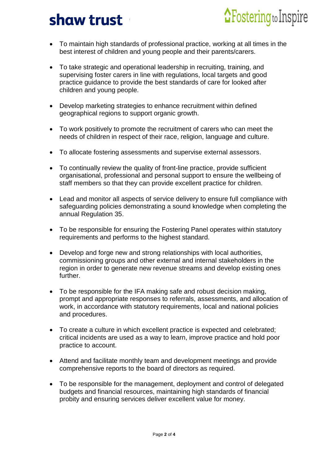## $\mathbf{\Omega}$ Fostering to Inspire

- To maintain high standards of professional practice, working at all times in the best interest of children and young people and their parents/carers.
- To take strategic and operational leadership in recruiting, training, and supervising foster carers in line with regulations, local targets and good practice guidance to provide the best standards of care for looked after children and young people.
- Develop marketing strategies to enhance recruitment within defined geographical regions to support organic growth.
- To work positively to promote the recruitment of carers who can meet the needs of children in respect of their race, religion, language and culture.
- To allocate fostering assessments and supervise external assessors.
- To continually review the quality of front-line practice, provide sufficient organisational, professional and personal support to ensure the wellbeing of staff members so that they can provide excellent practice for children.
- Lead and monitor all aspects of service delivery to ensure full compliance with safeguarding policies demonstrating a sound knowledge when completing the annual Regulation 35.
- To be responsible for ensuring the Fostering Panel operates within statutory requirements and performs to the highest standard.
- Develop and forge new and strong relationships with local authorities, commissioning groups and other external and internal stakeholders in the region in order to generate new revenue streams and develop existing ones further.
- To be responsible for the IFA making safe and robust decision making, prompt and appropriate responses to referrals, assessments, and allocation of work, in accordance with statutory requirements, local and national policies and procedures.
- To create a culture in which excellent practice is expected and celebrated; critical incidents are used as a way to learn, improve practice and hold poor practice to account.
- Attend and facilitate monthly team and development meetings and provide comprehensive reports to the board of directors as required.
- To be responsible for the management, deployment and control of delegated budgets and financial resources, maintaining high standards of financial probity and ensuring services deliver excellent value for money.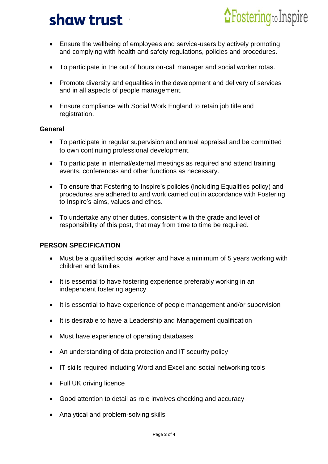

- Ensure the wellbeing of employees and service-users by actively promoting and complying with health and safety regulations, policies and procedures.
- To participate in the out of hours on-call manager and social worker rotas.
- Promote diversity and equalities in the development and delivery of services and in all aspects of people management.
- Ensure compliance with Social Work England to retain job title and registration.

#### **General**

- To participate in regular supervision and annual appraisal and be committed to own continuing professional development.
- To participate in internal/external meetings as required and attend training events, conferences and other functions as necessary.
- To ensure that Fostering to Inspire's policies (including Equalities policy) and procedures are adhered to and work carried out in accordance with Fostering to Inspire's aims, values and ethos.
- To undertake any other duties, consistent with the grade and level of responsibility of this post, that may from time to time be required.

### **PERSON SPECIFICATION**

- Must be a qualified social worker and have a minimum of 5 years working with children and families
- It is essential to have fostering experience preferably working in an independent fostering agency
- It is essential to have experience of people management and/or supervision
- It is desirable to have a Leadership and Management qualification
- Must have experience of operating databases
- An understanding of data protection and IT security policy
- IT skills required including Word and Excel and social networking tools
- Full UK driving licence
- Good attention to detail as role involves checking and accuracy
- Analytical and problem-solving skills